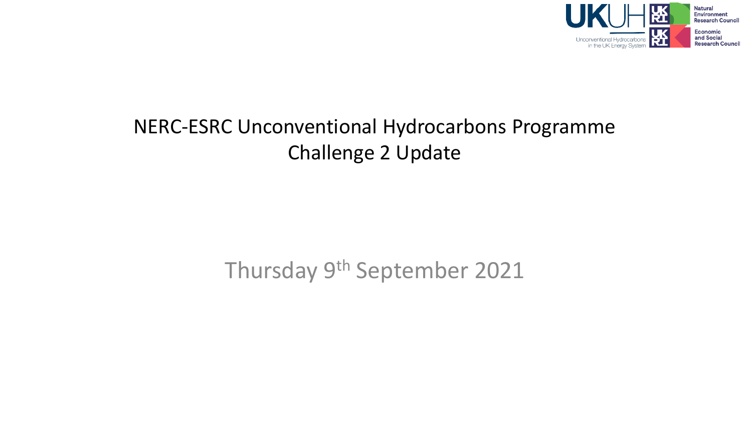

#### NERC-ESRC Unconventional Hydrocarbons Programme Challenge 2 Update

#### Thursday 9th September 2021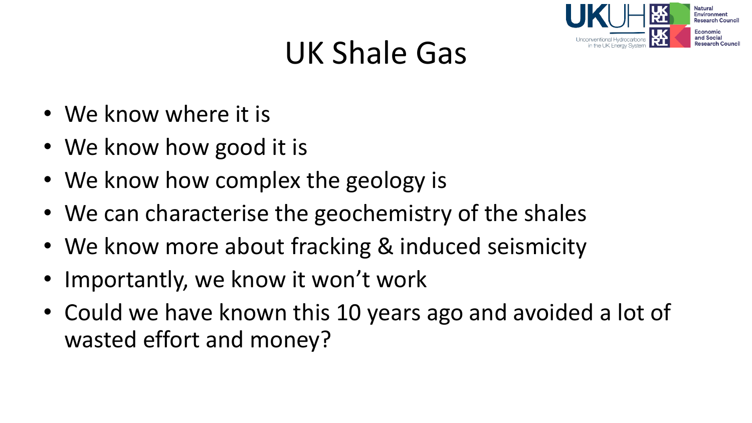

# UK Shale Gas

- We know where it is
- We know how good it is
- We know how complex the geology is
- We can characterise the geochemistry of the shales
- We know more about fracking & induced seismicity
- Importantly, we know it won't work
- Could we have known this 10 years ago and avoided a lot of wasted effort and money?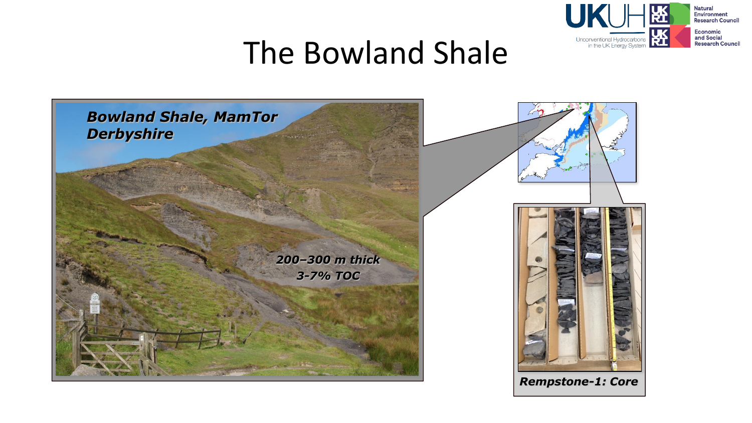

#### The Bowland Shale

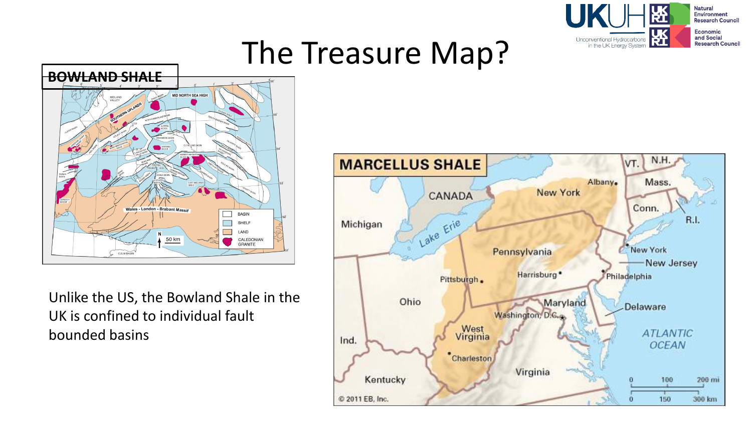

### The Treasure Map?



Unlike the US, the Bowland Shale in the UK is confined to individual fault bounded basins

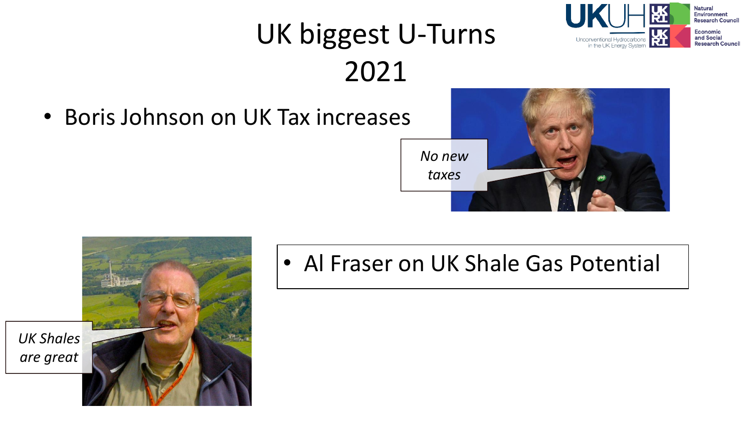### UK biggest U-Turns 2021

• Boris Johnson on UK Tax increases



Jnconventional Hydrocarbons

in the UK Energy System

**Natural Environment Research Council Economic** and Social

**Research Council** 



• Al Fraser on UK Shale Gas Potential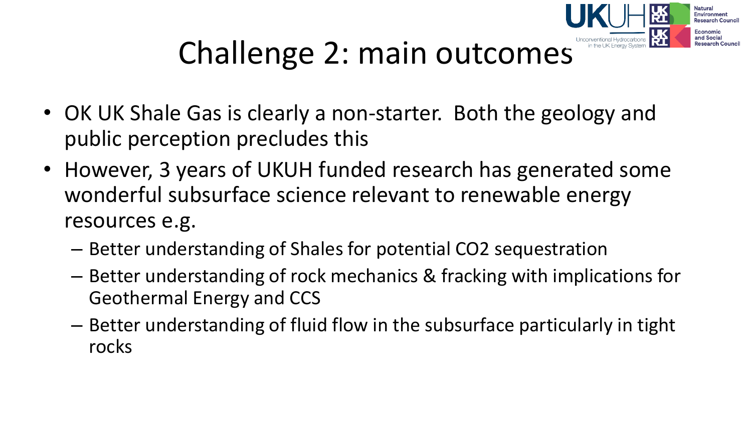

# Challenge 2: main outcomes

- OK UK Shale Gas is clearly a non-starter. Both the geology and public perception precludes this
- However, 3 years of UKUH funded research has generated some wonderful subsurface science relevant to renewable energy resources e.g.
	- Better understanding of Shales for potential CO2 sequestration
	- Better understanding of rock mechanics & fracking with implications for Geothermal Energy and CCS
	- Better understanding of fluid flow in the subsurface particularly in tight rocks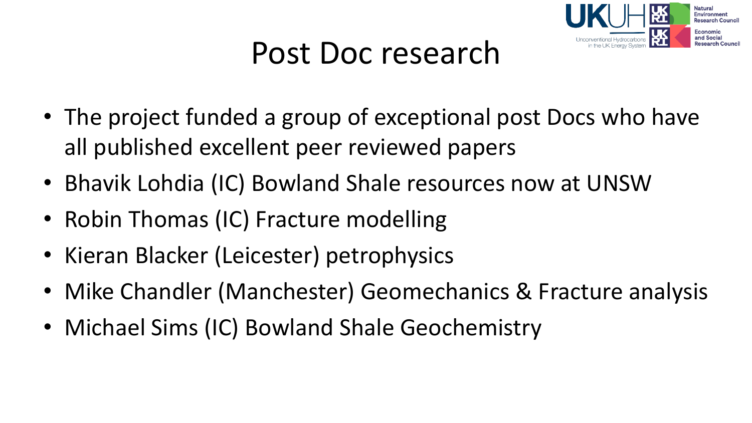

#### Post Doc research

- The project funded a group of exceptional post Docs who have all published excellent peer reviewed papers
- Bhavik Lohdia (IC) Bowland Shale resources now at UNSW
- Robin Thomas (IC) Fracture modelling
- Kieran Blacker (Leicester) petrophysics
- Mike Chandler (Manchester) Geomechanics & Fracture analysis
- Michael Sims (IC) Bowland Shale Geochemistry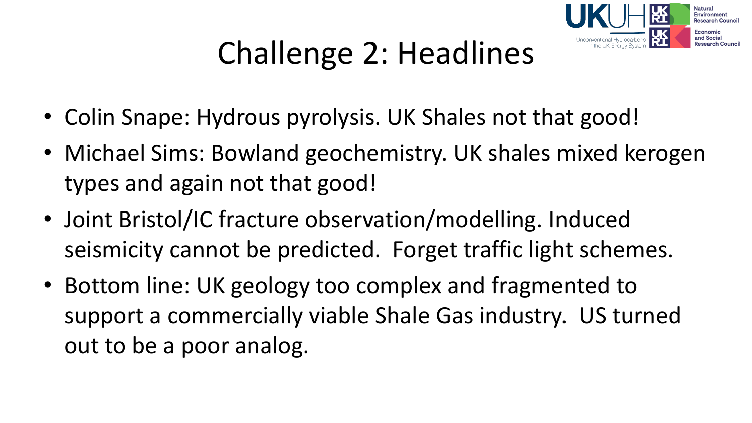

# Challenge 2: Headlines

- Colin Snape: Hydrous pyrolysis. UK Shales not that good!
- Michael Sims: Bowland geochemistry. UK shales mixed kerogen types and again not that good!
- Joint Bristol/IC fracture observation/modelling. Induced seismicity cannot be predicted. Forget traffic light schemes.
- Bottom line: UK geology too complex and fragmented to support a commercially viable Shale Gas industry. US turned out to be a poor analog.